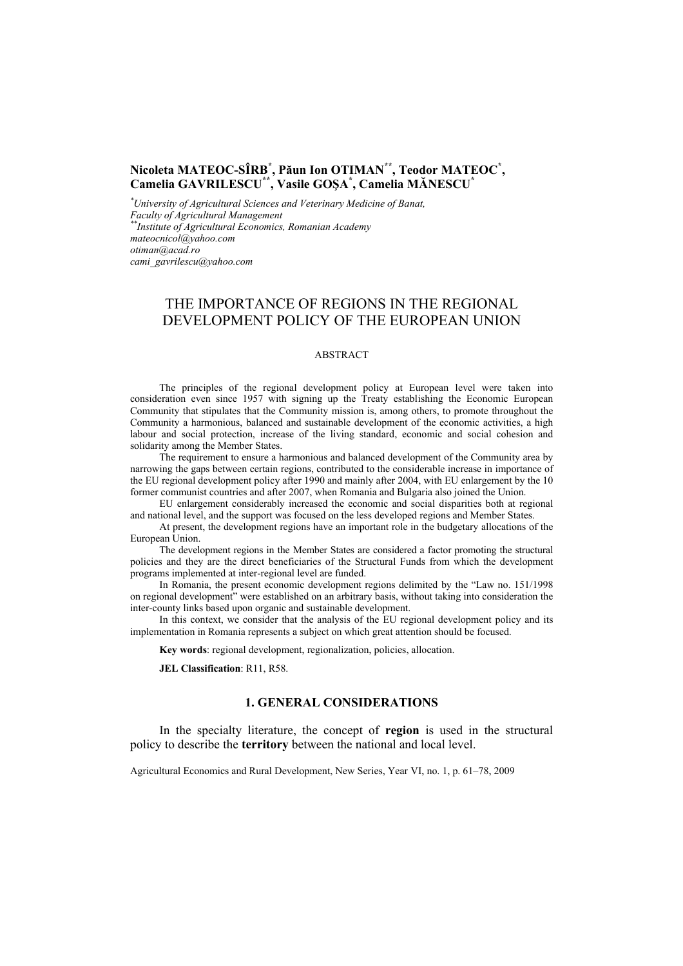### **Nicoleta MATEOC-SÎRB\* , Păun Ion OTIMAN\*\*, Teodor MATEOC\* , Camelia GAVRILESCU\*\*, Vasile GOŞA\* , Camelia MĂNESCU\***

*\* University of Agricultural Sciences and Veterinary Medicine of Banat, Faculty of Agricultural Management \*\*Institute of Agricultural Economics, Romanian Academy mateocnicol@yahoo.com otiman@acad.ro cami\_gavrilescu@yahoo.com* 

## THE IMPORTANCE OF REGIONS IN THE REGIONAL DEVELOPMENT POLICY OF THE EUROPEAN UNION

#### ABSTRACT

The principles of the regional development policy at European level were taken into consideration even since 1957 with signing up the Treaty establishing the Economic European Community that stipulates that the Community mission is, among others, to promote throughout the Community a harmonious, balanced and sustainable development of the economic activities, a high labour and social protection, increase of the living standard, economic and social cohesion and solidarity among the Member States.

The requirement to ensure a harmonious and balanced development of the Community area by narrowing the gaps between certain regions, contributed to the considerable increase in importance of the EU regional development policy after 1990 and mainly after 2004, with EU enlargement by the 10 former communist countries and after 2007, when Romania and Bulgaria also joined the Union.

EU enlargement considerably increased the economic and social disparities both at regional and national level, and the support was focused on the less developed regions and Member States.

At present, the development regions have an important role in the budgetary allocations of the European Union.

The development regions in the Member States are considered a factor promoting the structural policies and they are the direct beneficiaries of the Structural Funds from which the development programs implemented at inter-regional level are funded.

In Romania, the present economic development regions delimited by the "Law no. 151/1998 on regional development" were established on an arbitrary basis, without taking into consideration the inter-county links based upon organic and sustainable development.

In this context, we consider that the analysis of the EU regional development policy and its implementation in Romania represents a subject on which great attention should be focused.

**Key words**: regional development, regionalization, policies, allocation.

**JEL Classification**: R11, R58.

#### **1. GENERAL CONSIDERATIONS**

In the specialty literature, the concept of **region** is used in the structural policy to describe the **territory** between the national and local level.

Agricultural Economics and Rural Development, New Series, Year VI, no. 1, p. 61–78, 2009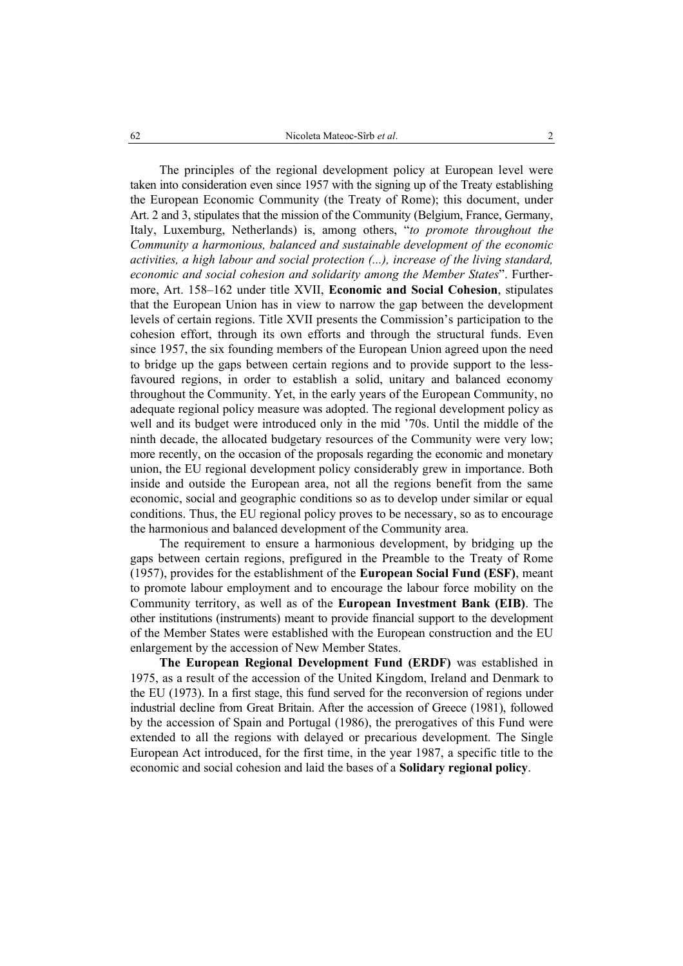The principles of the regional development policy at European level were taken into consideration even since 1957 with the signing up of the Treaty establishing the European Economic Community (the Treaty of Rome); this document, under Art. 2 and 3, stipulates that the mission of the Community (Belgium, France, Germany, Italy, Luxemburg, Netherlands) is, among others, "*to promote throughout the Community a harmonious, balanced and sustainable development of the economic activities, a high labour and social protection (...), increase of the living standard, economic and social cohesion and solidarity among the Member States*". Furthermore, Art. 158–162 under title XVII, **Economic and Social Cohesion**, stipulates that the European Union has in view to narrow the gap between the development levels of certain regions. Title XVII presents the Commission's participation to the cohesion effort, through its own efforts and through the structural funds. Even since 1957, the six founding members of the European Union agreed upon the need to bridge up the gaps between certain regions and to provide support to the lessfavoured regions, in order to establish a solid, unitary and balanced economy throughout the Community. Yet, in the early years of the European Community, no adequate regional policy measure was adopted. The regional development policy as well and its budget were introduced only in the mid '70s. Until the middle of the ninth decade, the allocated budgetary resources of the Community were very low; more recently, on the occasion of the proposals regarding the economic and monetary union, the EU regional development policy considerably grew in importance. Both inside and outside the European area, not all the regions benefit from the same economic, social and geographic conditions so as to develop under similar or equal conditions. Thus, the EU regional policy proves to be necessary, so as to encourage the harmonious and balanced development of the Community area.

The requirement to ensure a harmonious development, by bridging up the gaps between certain regions, prefigured in the Preamble to the Treaty of Rome (1957), provides for the establishment of the **European Social Fund (ESF)**, meant to promote labour employment and to encourage the labour force mobility on the Community territory, as well as of the **European Investment Bank (EIB)**. The other institutions (instruments) meant to provide financial support to the development of the Member States were established with the European construction and the EU enlargement by the accession of New Member States.

**The European Regional Development Fund (ERDF)** was established in 1975, as a result of the accession of the United Kingdom, Ireland and Denmark to the EU (1973). In a first stage, this fund served for the reconversion of regions under industrial decline from Great Britain. After the accession of Greece (1981), followed by the accession of Spain and Portugal (1986), the prerogatives of this Fund were extended to all the regions with delayed or precarious development. The Single European Act introduced, for the first time, in the year 1987, a specific title to the economic and social cohesion and laid the bases of a **Solidary regional policy**.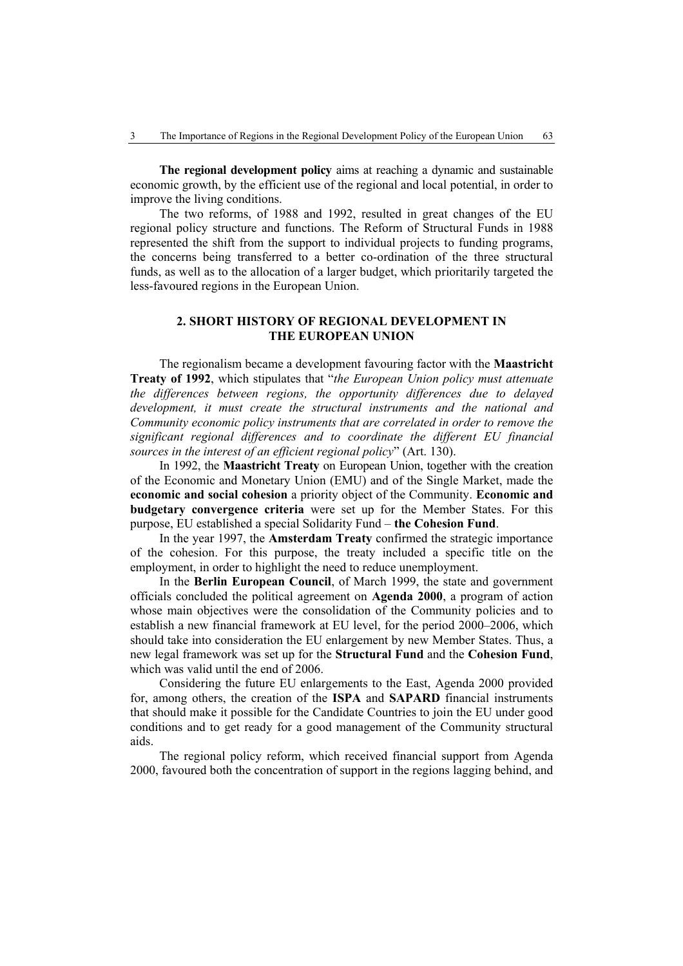**The regional development policy** aims at reaching a dynamic and sustainable economic growth, by the efficient use of the regional and local potential, in order to improve the living conditions.

The two reforms, of 1988 and 1992, resulted in great changes of the EU regional policy structure and functions. The Reform of Structural Funds in 1988 represented the shift from the support to individual projects to funding programs, the concerns being transferred to a better co-ordination of the three structural funds, as well as to the allocation of a larger budget, which prioritarily targeted the less-favoured regions in the European Union.

#### **2. SHORT HISTORY OF REGIONAL DEVELOPMENT IN THE EUROPEAN UNION**

The regionalism became a development favouring factor with the **Maastricht Treaty of 1992**, which stipulates that "*the European Union policy must attenuate the differences between regions, the opportunity differences due to delayed development, it must create the structural instruments and the national and Community economic policy instruments that are correlated in order to remove the significant regional differences and to coordinate the different EU financial sources in the interest of an efficient regional policy*" (Art. 130).

In 1992, the **Maastricht Treaty** on European Union, together with the creation of the Economic and Monetary Union (EMU) and of the Single Market, made the **economic and social cohesion** a priority object of the Community. **Economic and budgetary convergence criteria** were set up for the Member States. For this purpose, EU established a special Solidarity Fund – **the Cohesion Fund**.

In the year 1997, the **Amsterdam Treaty** confirmed the strategic importance of the cohesion. For this purpose, the treaty included a specific title on the employment, in order to highlight the need to reduce unemployment.

In the **Berlin European Council**, of March 1999, the state and government officials concluded the political agreement on **Agenda 2000**, a program of action whose main objectives were the consolidation of the Community policies and to establish a new financial framework at EU level, for the period 2000–2006, which should take into consideration the EU enlargement by new Member States. Thus, a new legal framework was set up for the **Structural Fund** and the **Cohesion Fund**, which was valid until the end of 2006.

Considering the future EU enlargements to the East, Agenda 2000 provided for, among others, the creation of the **ISPA** and **SAPARD** financial instruments that should make it possible for the Candidate Countries to join the EU under good conditions and to get ready for a good management of the Community structural aids.

The regional policy reform, which received financial support from Agenda 2000, favoured both the concentration of support in the regions lagging behind, and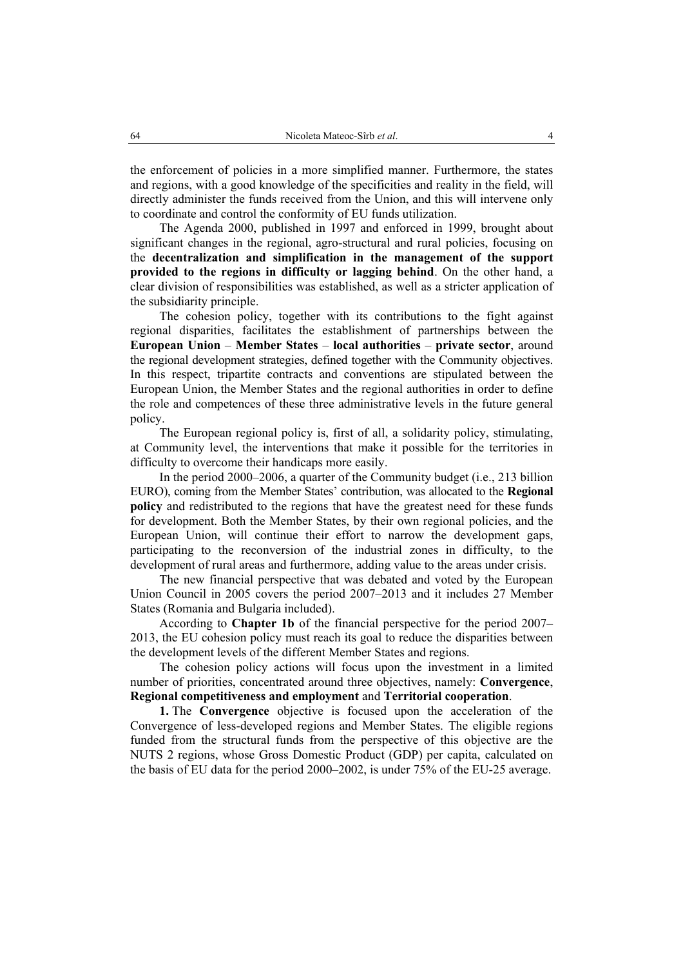the enforcement of policies in a more simplified manner. Furthermore, the states and regions, with a good knowledge of the specificities and reality in the field, will directly administer the funds received from the Union, and this will intervene only to coordinate and control the conformity of EU funds utilization.

The Agenda 2000, published in 1997 and enforced in 1999, brought about significant changes in the regional, agro-structural and rural policies, focusing on the **decentralization and simplification in the management of the support provided to the regions in difficulty or lagging behind**. On the other hand, a clear division of responsibilities was established, as well as a stricter application of the subsidiarity principle.

The cohesion policy, together with its contributions to the fight against regional disparities, facilitates the establishment of partnerships between the **European Union** – **Member States** – **local authorities** – **private sector**, around the regional development strategies, defined together with the Community objectives. In this respect, tripartite contracts and conventions are stipulated between the European Union, the Member States and the regional authorities in order to define the role and competences of these three administrative levels in the future general policy.

The European regional policy is, first of all, a solidarity policy, stimulating, at Community level, the interventions that make it possible for the territories in difficulty to overcome their handicaps more easily.

In the period 2000–2006, a quarter of the Community budget (i.e., 213 billion EURO), coming from the Member States' contribution, was allocated to the **Regional policy** and redistributed to the regions that have the greatest need for these funds for development. Both the Member States, by their own regional policies, and the European Union, will continue their effort to narrow the development gaps, participating to the reconversion of the industrial zones in difficulty, to the development of rural areas and furthermore, adding value to the areas under crisis.

The new financial perspective that was debated and voted by the European Union Council in 2005 covers the period 2007–2013 and it includes 27 Member States (Romania and Bulgaria included).

According to **Chapter 1b** of the financial perspective for the period 2007– 2013, the EU cohesion policy must reach its goal to reduce the disparities between the development levels of the different Member States and regions.

The cohesion policy actions will focus upon the investment in a limited number of priorities, concentrated around three objectives, namely: **Convergence**, **Regional competitiveness and employment** and **Territorial cooperation**.

**1.** The **Convergence** objective is focused upon the acceleration of the Convergence of less-developed regions and Member States. The eligible regions funded from the structural funds from the perspective of this objective are the NUTS 2 regions, whose Gross Domestic Product (GDP) per capita, calculated on the basis of EU data for the period 2000–2002, is under 75% of the EU-25 average.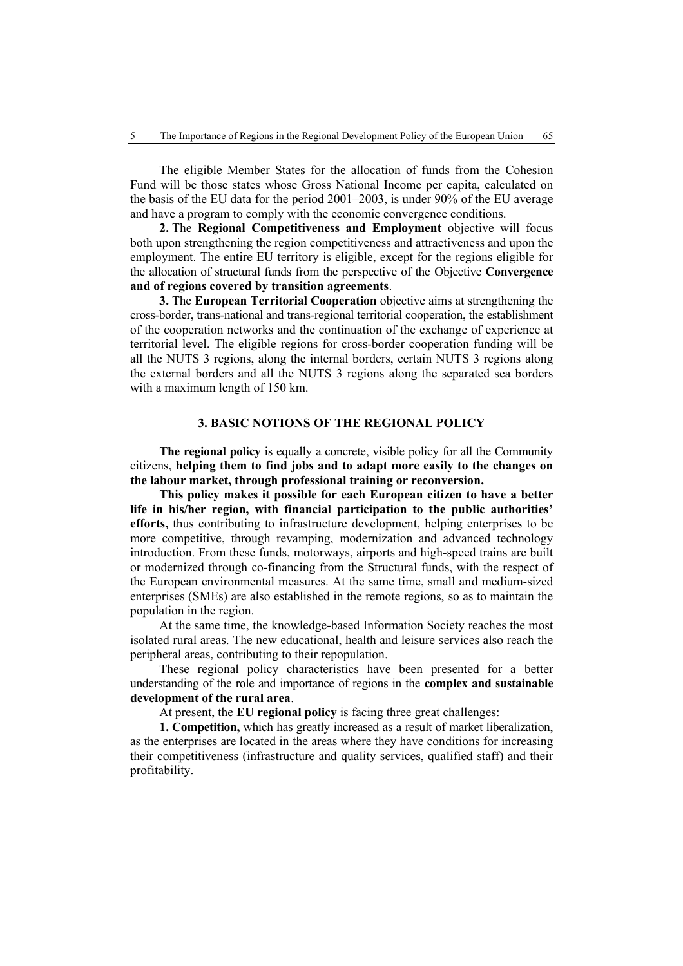The eligible Member States for the allocation of funds from the Cohesion Fund will be those states whose Gross National Income per capita, calculated on the basis of the EU data for the period 2001–2003, is under 90% of the EU average and have a program to comply with the economic convergence conditions.

**2.** The **Regional Competitiveness and Employment** objective will focus both upon strengthening the region competitiveness and attractiveness and upon the employment. The entire EU territory is eligible, except for the regions eligible for the allocation of structural funds from the perspective of the Objective **Convergence and of regions covered by transition agreements**.

**3.** The **European Territorial Cooperation** objective aims at strengthening the cross-border, trans-national and trans-regional territorial cooperation, the establishment of the cooperation networks and the continuation of the exchange of experience at territorial level. The eligible regions for cross-border cooperation funding will be all the NUTS 3 regions, along the internal borders, certain NUTS 3 regions along the external borders and all the NUTS 3 regions along the separated sea borders with a maximum length of 150 km.

#### **3. BASIC NOTIONS OF THE REGIONAL POLICY**

**The regional policy** is equally a concrete, visible policy for all the Community citizens, **helping them to find jobs and to adapt more easily to the changes on the labour market, through professional training or reconversion.**

**This policy makes it possible for each European citizen to have a better life in his/her region, with financial participation to the public authorities' efforts,** thus contributing to infrastructure development, helping enterprises to be more competitive, through revamping, modernization and advanced technology introduction. From these funds, motorways, airports and high-speed trains are built or modernized through co-financing from the Structural funds, with the respect of the European environmental measures. At the same time, small and medium-sized enterprises (SMEs) are also established in the remote regions, so as to maintain the population in the region.

At the same time, the knowledge-based Information Society reaches the most isolated rural areas. The new educational, health and leisure services also reach the peripheral areas, contributing to their repopulation.

These regional policy characteristics have been presented for a better understanding of the role and importance of regions in the **complex and sustainable development of the rural area**.

At present, the **EU regional policy** is facing three great challenges:

**1. Competition,** which has greatly increased as a result of market liberalization, as the enterprises are located in the areas where they have conditions for increasing their competitiveness (infrastructure and quality services, qualified staff) and their profitability.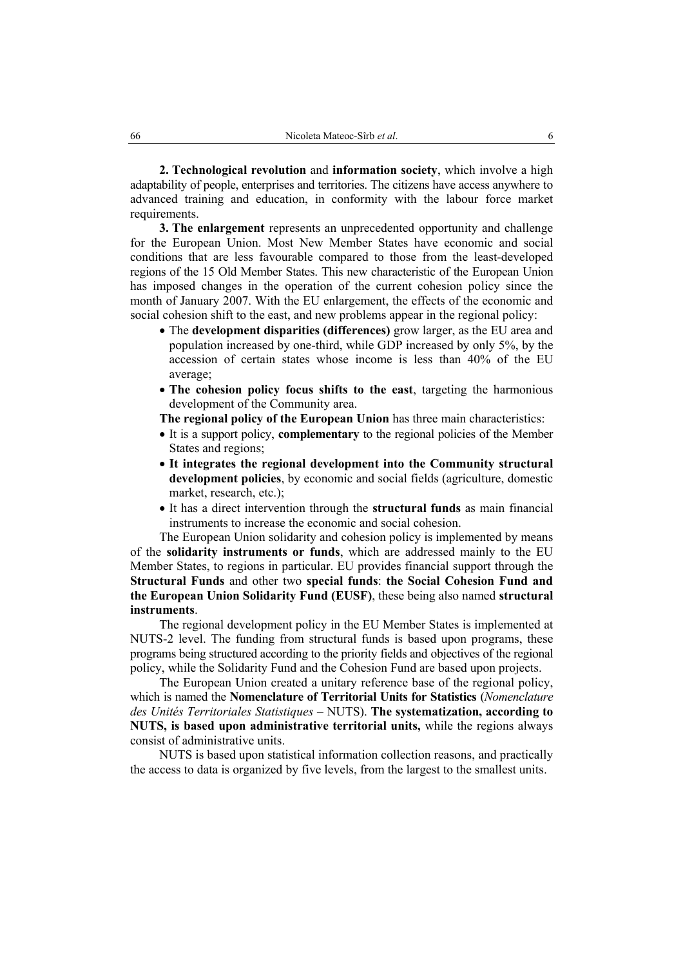**2. Technological revolution** and **information society**, which involve a high adaptability of people, enterprises and territories. The citizens have access anywhere to advanced training and education, in conformity with the labour force market requirements.

**3. The enlargement** represents an unprecedented opportunity and challenge for the European Union. Most New Member States have economic and social conditions that are less favourable compared to those from the least-developed regions of the 15 Old Member States. This new characteristic of the European Union has imposed changes in the operation of the current cohesion policy since the month of January 2007. With the EU enlargement, the effects of the economic and social cohesion shift to the east, and new problems appear in the regional policy:

- The **development disparities (differences)** grow larger, as the EU area and population increased by one-third, while GDP increased by only 5%, by the accession of certain states whose income is less than 40% of the EU average;
- **The cohesion policy focus shifts to the east**, targeting the harmonious development of the Community area.
- **The regional policy of the European Union** has three main characteristics:
- It is a support policy, **complementary** to the regional policies of the Member States and regions;
- **It integrates the regional development into the Community structural development policies**, by economic and social fields (agriculture, domestic market, research, etc.);
- It has a direct intervention through the **structural funds** as main financial instruments to increase the economic and social cohesion.

The European Union solidarity and cohesion policy is implemented by means of the **solidarity instruments or funds**, which are addressed mainly to the EU Member States, to regions in particular. EU provides financial support through the **Structural Funds** and other two **special funds**: **the Social Cohesion Fund and the European Union Solidarity Fund (EUSF)**, these being also named **structural instruments**.

The regional development policy in the EU Member States is implemented at NUTS-2 level. The funding from structural funds is based upon programs, these programs being structured according to the priority fields and objectives of the regional policy, while the Solidarity Fund and the Cohesion Fund are based upon projects.

The European Union created a unitary reference base of the regional policy, which is named the **Nomenclature of Territorial Units for Statistics** (*Nomenclature des Unités Territoriales Statistiques* – NUTS). **The systematization, according to NUTS, is based upon administrative territorial units,** while the regions always consist of administrative units.

NUTS is based upon statistical information collection reasons, and practically the access to data is organized by five levels, from the largest to the smallest units.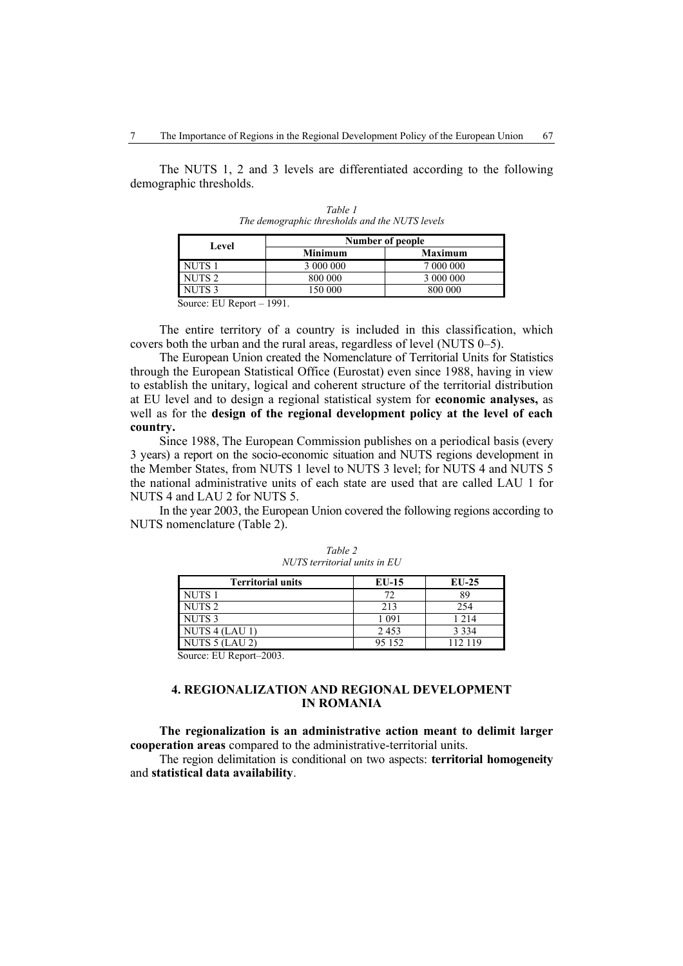The NUTS 1, 2 and 3 levels are differentiated according to the following demographic thresholds.

| Level             |                | Number of people |
|-------------------|----------------|------------------|
|                   | <b>Minimum</b> | <b>Maximum</b>   |
| NUTS <sub>1</sub> | 3 000 000      | 7 000 000        |
| NUTS <sub>2</sub> | 800 000        | 3 000 000        |
| NUTS <sub>3</sub> | 150 000        | 800 000          |

*Table 1 The demographic thresholds and the NUTS levels*

Source: EU Report – 1991.

The entire territory of a country is included in this classification, which covers both the urban and the rural areas, regardless of level (NUTS 0–5).

The European Union created the Nomenclature of Territorial Units for Statistics through the European Statistical Office (Eurostat) even since 1988, having in view to establish the unitary, logical and coherent structure of the territorial distribution at EU level and to design a regional statistical system for **economic analyses,** as well as for the **design of the regional development policy at the level of each country.**

Since 1988, The European Commission publishes on a periodical basis (every 3 years) a report on the socio-economic situation and NUTS regions development in the Member States, from NUTS 1 level to NUTS 3 level; for NUTS 4 and NUTS 5 the national administrative units of each state are used that are called LAU 1 for NUTS 4 and LAU 2 for NUTS 5.

In the year 2003, the European Union covered the following regions according to NUTS nomenclature (Table 2).

| <b>Territorial units</b>            | $EU-15$ | $EU-25$ |
|-------------------------------------|---------|---------|
| <b>NUTS1</b>                        | 70      | 89      |
| NUTS <sub>2</sub>                   | 213     | 254     |
| NUTS <sub>3</sub>                   | 1 091   | 1 2 1 4 |
| $\overline{\text{NUT}}$ S 4 (LAU 1) | 2453    | 3 3 3 4 |
| NUTS 5 (LAU 2)                      | 95 152  | 112 119 |

*Table 2 NUTS territorial units in EU* 

Source: EU Report–2003.

### **4. REGIONALIZATION AND REGIONAL DEVELOPMENT IN ROMANIA**

**The regionalization is an administrative action meant to delimit larger cooperation areas** compared to the administrative-territorial units.

The region delimitation is conditional on two aspects: **territorial homogeneity** and **statistical data availability**.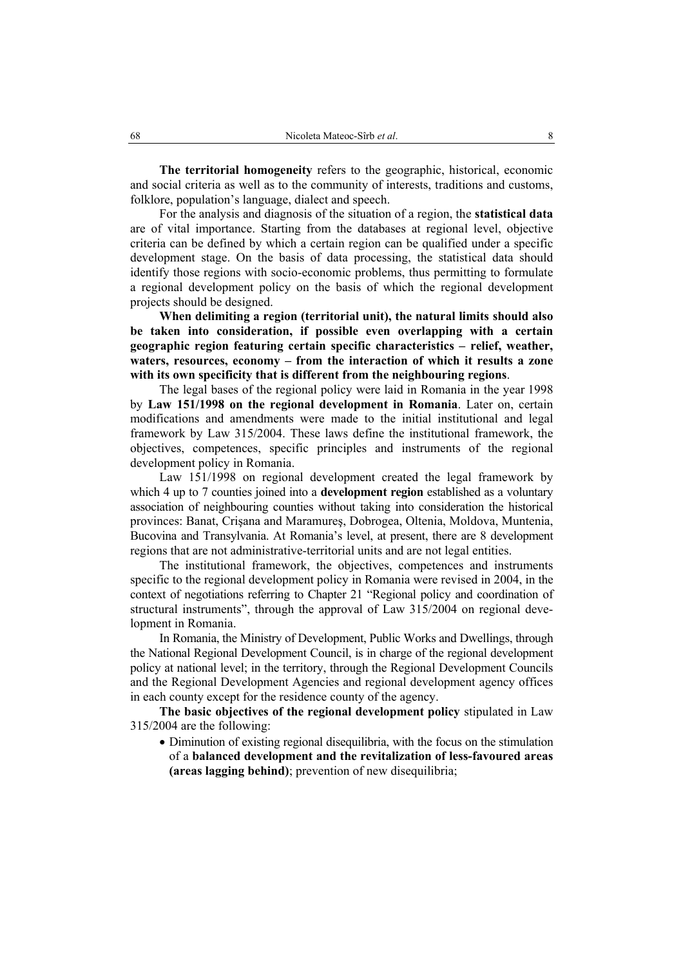**The territorial homogeneity** refers to the geographic, historical, economic and social criteria as well as to the community of interests, traditions and customs, folklore, population's language, dialect and speech.

For the analysis and diagnosis of the situation of a region, the **statistical data** are of vital importance. Starting from the databases at regional level, objective criteria can be defined by which a certain region can be qualified under a specific development stage. On the basis of data processing, the statistical data should identify those regions with socio-economic problems, thus permitting to formulate a regional development policy on the basis of which the regional development projects should be designed.

**When delimiting a region (territorial unit), the natural limits should also be taken into consideration, if possible even overlapping with a certain geographic region featuring certain specific characteristics – relief, weather, waters, resources, economy – from the interaction of which it results a zone with its own specificity that is different from the neighbouring regions**.

The legal bases of the regional policy were laid in Romania in the year 1998 by **Law 151/1998 on the regional development in Romania**. Later on, certain modifications and amendments were made to the initial institutional and legal framework by Law 315/2004. These laws define the institutional framework, the objectives, competences, specific principles and instruments of the regional development policy in Romania.

Law 151/1998 on regional development created the legal framework by which 4 up to 7 counties joined into a **development region** established as a voluntary association of neighbouring counties without taking into consideration the historical provinces: Banat, Crişana and Maramureş, Dobrogea, Oltenia, Moldova, Muntenia, Bucovina and Transylvania. At Romania's level, at present, there are 8 development regions that are not administrative-territorial units and are not legal entities.

The institutional framework, the objectives, competences and instruments specific to the regional development policy in Romania were revised in 2004, in the context of negotiations referring to Chapter 21 "Regional policy and coordination of structural instruments", through the approval of Law 315/2004 on regional development in Romania.

In Romania, the Ministry of Development, Public Works and Dwellings, through the National Regional Development Council, is in charge of the regional development policy at national level; in the territory, through the Regional Development Councils and the Regional Development Agencies and regional development agency offices in each county except for the residence county of the agency.

**The basic objectives of the regional development policy** stipulated in Law 315/2004 are the following:

• Diminution of existing regional disequilibria, with the focus on the stimulation of a **balanced development and the revitalization of less-favoured areas (areas lagging behind)**; prevention of new disequilibria;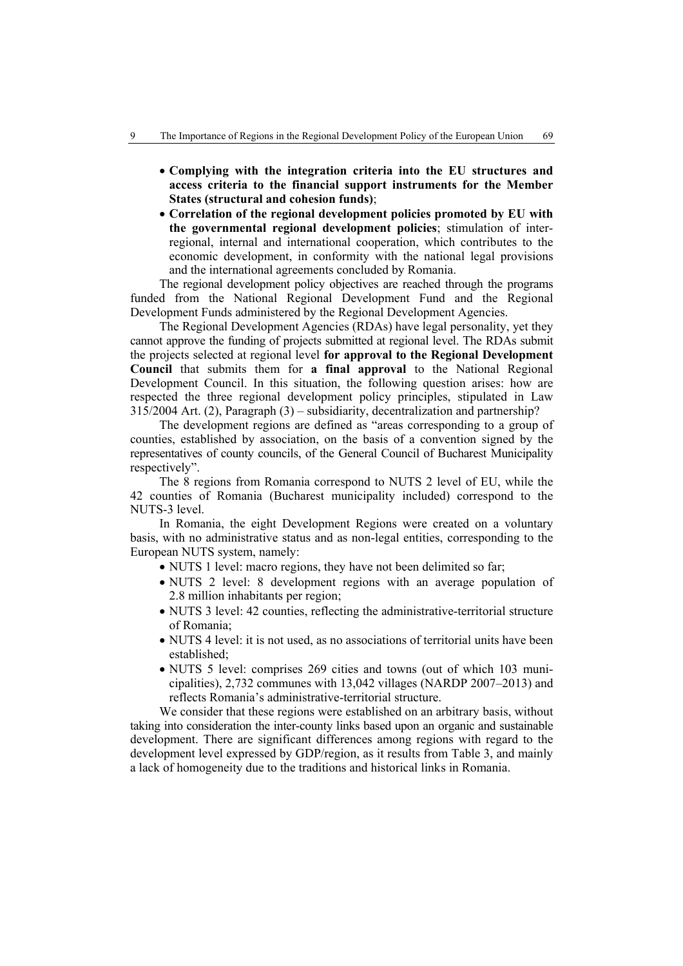- **Complying with the integration criteria into the EU structures and access criteria to the financial support instruments for the Member States (structural and cohesion funds)**;
- **Correlation of the regional development policies promoted by EU with the governmental regional development policies**; stimulation of interregional, internal and international cooperation, which contributes to the economic development, in conformity with the national legal provisions and the international agreements concluded by Romania.

The regional development policy objectives are reached through the programs funded from the National Regional Development Fund and the Regional Development Funds administered by the Regional Development Agencies.

The Regional Development Agencies (RDAs) have legal personality, yet they cannot approve the funding of projects submitted at regional level. The RDAs submit the projects selected at regional level **for approval to the Regional Development Council** that submits them for **a final approval** to the National Regional Development Council. In this situation, the following question arises: how are respected the three regional development policy principles, stipulated in Law 315/2004 Art. (2), Paragraph (3) – subsidiarity, decentralization and partnership?

The development regions are defined as "areas corresponding to a group of counties, established by association, on the basis of a convention signed by the representatives of county councils, of the General Council of Bucharest Municipality respectively".

The 8 regions from Romania correspond to NUTS 2 level of EU, while the 42 counties of Romania (Bucharest municipality included) correspond to the NUTS-3 level.

In Romania, the eight Development Regions were created on a voluntary basis, with no administrative status and as non-legal entities, corresponding to the European NUTS system, namely:

- NUTS 1 level: macro regions, they have not been delimited so far;
- NUTS 2 level: 8 development regions with an average population of 2.8 million inhabitants per region;
- NUTS 3 level: 42 counties, reflecting the administrative-territorial structure of Romania;
- NUTS 4 level: it is not used, as no associations of territorial units have been established;
- NUTS 5 level: comprises 269 cities and towns (out of which 103 municipalities), 2,732 communes with 13,042 villages (NARDP 2007–2013) and reflects Romania's administrative-territorial structure.

We consider that these regions were established on an arbitrary basis, without taking into consideration the inter-county links based upon an organic and sustainable development. There are significant differences among regions with regard to the development level expressed by GDP/region, as it results from Table 3, and mainly a lack of homogeneity due to the traditions and historical links in Romania.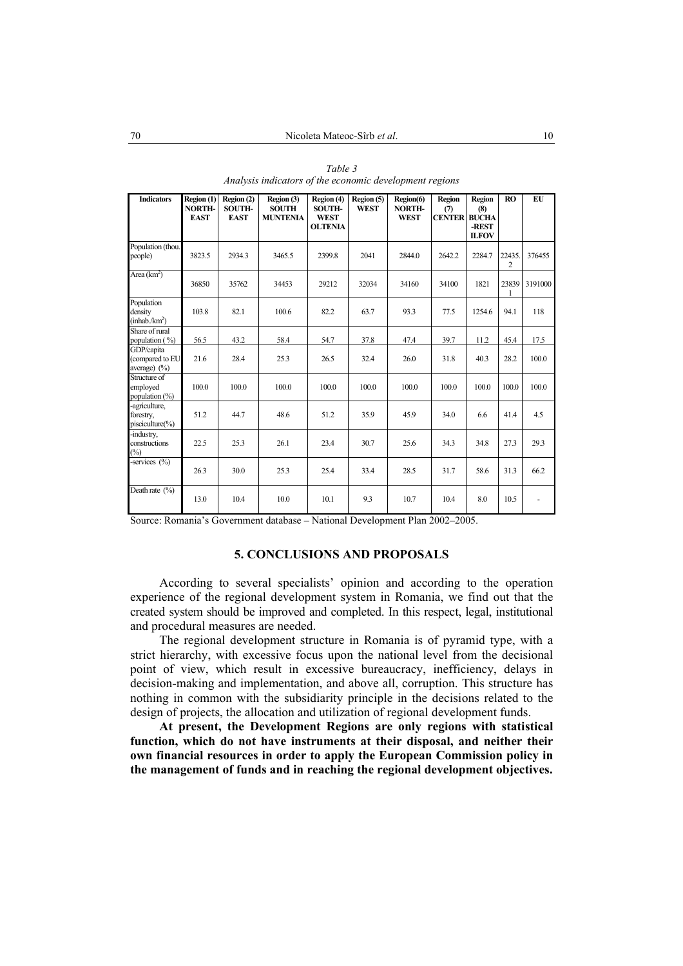| <b>Indicators</b>                                 | Region (1)<br><b>NORTH-</b><br><b>EAST</b> | Region (2)<br><b>SOUTH-</b><br><b>EAST</b> | Region (3)<br><b>SOUTH</b><br><b>MUNTENIA</b> | Region (4)<br><b>SOUTH-</b><br><b>WEST</b><br><b>OLTENIA</b> | Region (5)<br><b>WEST</b> | Region(6)<br>NORTH-<br><b>WEST</b> | Region<br>(7)<br><b>CENTER</b> | <b>Region</b><br>(8)<br><b>BUCHA</b><br>-REST<br><b>ILFOV</b> | <b>RO</b>   | EU      |
|---------------------------------------------------|--------------------------------------------|--------------------------------------------|-----------------------------------------------|--------------------------------------------------------------|---------------------------|------------------------------------|--------------------------------|---------------------------------------------------------------|-------------|---------|
| Population (thou.<br>people)                      | 3823.5                                     | 2934.3                                     | 3465.5                                        | 2399.8                                                       | 2041                      | 2844.0                             | 2642.2                         | 2284.7                                                        | 22435.<br>2 | 376455  |
| Area $(km^2)$                                     | 36850                                      | 35762                                      | 34453                                         | 29212                                                        | 32034                     | 34160                              | 34100                          | 1821                                                          | 23839<br>1  | 3191000 |
| Population<br>density<br>(inhab/km <sup>2</sup> ) | 103.8                                      | 82.1                                       | 100.6                                         | 82.2                                                         | 63.7                      | 93.3                               | 77.5                           | 1254.6                                                        | 94.1        | 118     |
| Share of rural<br>population (%)                  | 56.5                                       | 43.2                                       | 58.4                                          | 54.7                                                         | 37.8                      | 47.4                               | 39.7                           | 11.2                                                          | 45.4        | 17.5    |
| GDP/capita<br>(compared to EU<br>average) $(\%)$  | 21.6                                       | 28.4                                       | 25.3                                          | 26.5                                                         | 32.4                      | 26.0                               | 31.8                           | 40.3                                                          | 28.2        | 100.0   |
| Structure of<br>employed<br>population (%)        | 100.0                                      | 100.0                                      | 100.0                                         | 100.0                                                        | 100.0                     | 100.0                              | 100.0                          | 100.0                                                         | 100.0       | 100.0   |
| -agriculture,<br>forestry,<br>pisciculture(%)     | 51.2                                       | 44.7                                       | 48.6                                          | 51.2                                                         | 35.9                      | 45.9                               | 34.0                           | 6.6                                                           | 41.4        | 4.5     |
| -industry,<br>constructions<br>$(\%)$             | 22.5                                       | 25.3                                       | 26.1                                          | 23.4                                                         | 30.7                      | 25.6                               | 34.3                           | 34.8                                                          | 27.3        | 29.3    |
| -services $(\% )$                                 | 26.3                                       | 30.0                                       | 25.3                                          | 25.4                                                         | 33.4                      | 28.5                               | 31.7                           | 58.6                                                          | 31.3        | 66.2    |
| Death rate $(\% )$                                | 13.0                                       | 104                                        | 10.0                                          | 10.1                                                         | 93                        | 10.7                               | 104                            | 8.0                                                           | 10.5        |         |

*Table 3 Analysis indicators of the economic development regions* 

Source: Romania's Government database – National Development Plan 2002–2005.

#### **5. CONCLUSIONS AND PROPOSALS**

According to several specialists' opinion and according to the operation experience of the regional development system in Romania, we find out that the created system should be improved and completed. In this respect, legal, institutional and procedural measures are needed.

The regional development structure in Romania is of pyramid type, with a strict hierarchy, with excessive focus upon the national level from the decisional point of view, which result in excessive bureaucracy, inefficiency, delays in decision-making and implementation, and above all, corruption. This structure has nothing in common with the subsidiarity principle in the decisions related to the design of projects, the allocation and utilization of regional development funds.

**At present, the Development Regions are only regions with statistical function, which do not have instruments at their disposal, and neither their own financial resources in order to apply the European Commission policy in the management of funds and in reaching the regional development objectives.**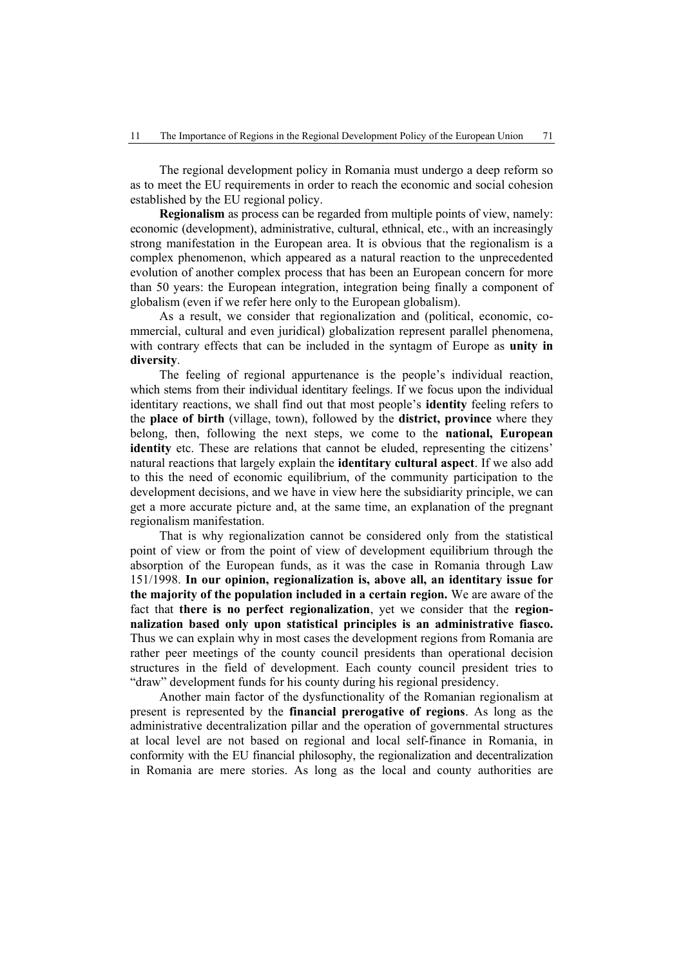The regional development policy in Romania must undergo a deep reform so as to meet the EU requirements in order to reach the economic and social cohesion established by the EU regional policy.

**Regionalism** as process can be regarded from multiple points of view, namely: economic (development), administrative, cultural, ethnical, etc., with an increasingly strong manifestation in the European area. It is obvious that the regionalism is a complex phenomenon, which appeared as a natural reaction to the unprecedented evolution of another complex process that has been an European concern for more than 50 years: the European integration, integration being finally a component of globalism (even if we refer here only to the European globalism).

As a result, we consider that regionalization and (political, economic, commercial, cultural and even juridical) globalization represent parallel phenomena, with contrary effects that can be included in the syntagm of Europe as **unity in diversity**.

The feeling of regional appurtenance is the people's individual reaction, which stems from their individual identitary feelings. If we focus upon the individual identitary reactions, we shall find out that most people's **identity** feeling refers to the **place of birth** (village, town), followed by the **district, province** where they belong, then, following the next steps, we come to the **national, European identity** etc. These are relations that cannot be eluded, representing the citizens' natural reactions that largely explain the **identitary cultural aspect**. If we also add to this the need of economic equilibrium, of the community participation to the development decisions, and we have in view here the subsidiarity principle, we can get a more accurate picture and, at the same time, an explanation of the pregnant regionalism manifestation.

That is why regionalization cannot be considered only from the statistical point of view or from the point of view of development equilibrium through the absorption of the European funds, as it was the case in Romania through Law 151/1998. **In our opinion, regionalization is, above all, an identitary issue for the majority of the population included in a certain region.** We are aware of the fact that **there is no perfect regionalization**, yet we consider that the **regionnalization based only upon statistical principles is an administrative fiasco.**  Thus we can explain why in most cases the development regions from Romania are rather peer meetings of the county council presidents than operational decision structures in the field of development. Each county council president tries to "draw" development funds for his county during his regional presidency.

Another main factor of the dysfunctionality of the Romanian regionalism at present is represented by the **financial prerogative of regions**. As long as the administrative decentralization pillar and the operation of governmental structures at local level are not based on regional and local self-finance in Romania, in conformity with the EU financial philosophy, the regionalization and decentralization in Romania are mere stories. As long as the local and county authorities are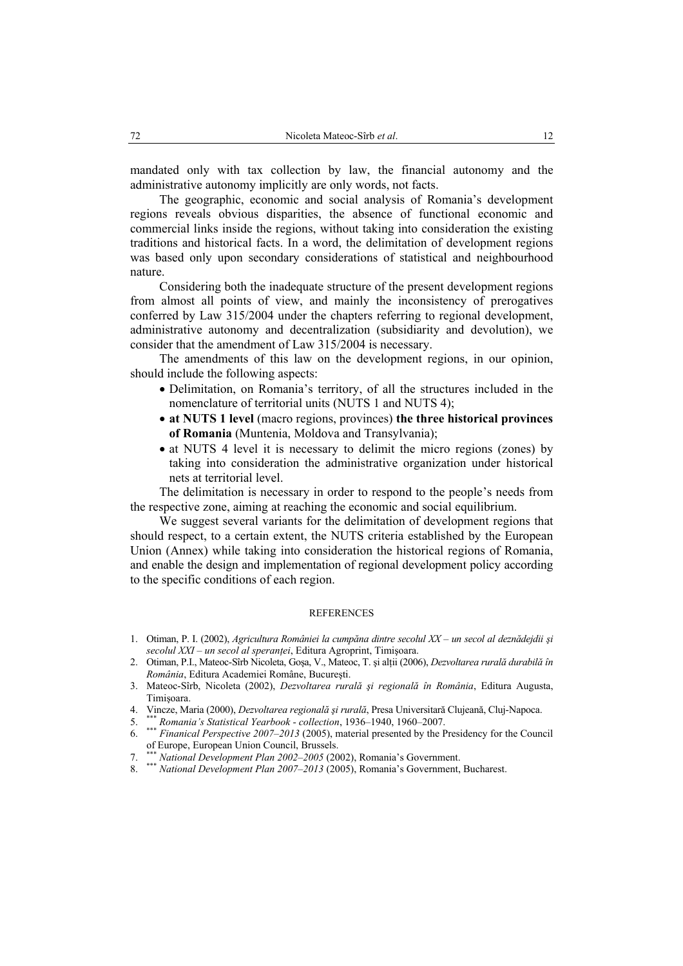mandated only with tax collection by law, the financial autonomy and the administrative autonomy implicitly are only words, not facts.

The geographic, economic and social analysis of Romania's development regions reveals obvious disparities, the absence of functional economic and commercial links inside the regions, without taking into consideration the existing traditions and historical facts. In a word, the delimitation of development regions was based only upon secondary considerations of statistical and neighbourhood nature.

Considering both the inadequate structure of the present development regions from almost all points of view, and mainly the inconsistency of prerogatives conferred by Law 315/2004 under the chapters referring to regional development, administrative autonomy and decentralization (subsidiarity and devolution), we consider that the amendment of Law 315/2004 is necessary.

The amendments of this law on the development regions, in our opinion, should include the following aspects:

- Delimitation, on Romania's territory, of all the structures included in the nomenclature of territorial units (NUTS 1 and NUTS 4);
- **at NUTS 1 level** (macro regions, provinces) **the three historical provinces of Romania** (Muntenia, Moldova and Transylvania);
- at NUTS 4 level it is necessary to delimit the micro regions (zones) by taking into consideration the administrative organization under historical nets at territorial level.

The delimitation is necessary in order to respond to the people's needs from the respective zone, aiming at reaching the economic and social equilibrium.

We suggest several variants for the delimitation of development regions that should respect, to a certain extent, the NUTS criteria established by the European Union (Annex) while taking into consideration the historical regions of Romania, and enable the design and implementation of regional development policy according to the specific conditions of each region.

#### REFERENCES

- 1. Otiman, P. I. (2002), *Agricultura României la cumpăna dintre secolul XX un secol al deznădejdii şi secolul XXI – un secol al speranţei*, Editura Agroprint, Timişoara.
- 2. Otiman, P.I., Mateoc-Sîrb Nicoleta, Goşa, V., Mateoc, T. şi alţii (2006), *Dezvoltarea rurală durabilă în România*, Editura Academiei Române, Bucureşti.
- 3. Mateoc-Sîrb, Nicoleta (2002), *Dezvoltarea rurală şi regională în România*, Editura Augusta, Timişoara.
- 4. Vincze, Maria (2000), *Dezvoltarea regională şi rurală*, Presa Universitară Clujeană, Cluj-Napoca.
- 5. \*\*\* *Romania's Statistical Yearbook collection*, 1936–1940, 1960*–*2007.
- 6. \*\*\* *Finanical Perspective 2007–2013* (2005), material presented by the Presidency for the Council of Europe, European Union Council, Brussels.
- 7. \*\*\* *National Development Plan 2002–2005* (2002), Romania's Government.
- 8. \*\*\* *National Development Plan 2007–2013* (2005), Romania's Government, Bucharest.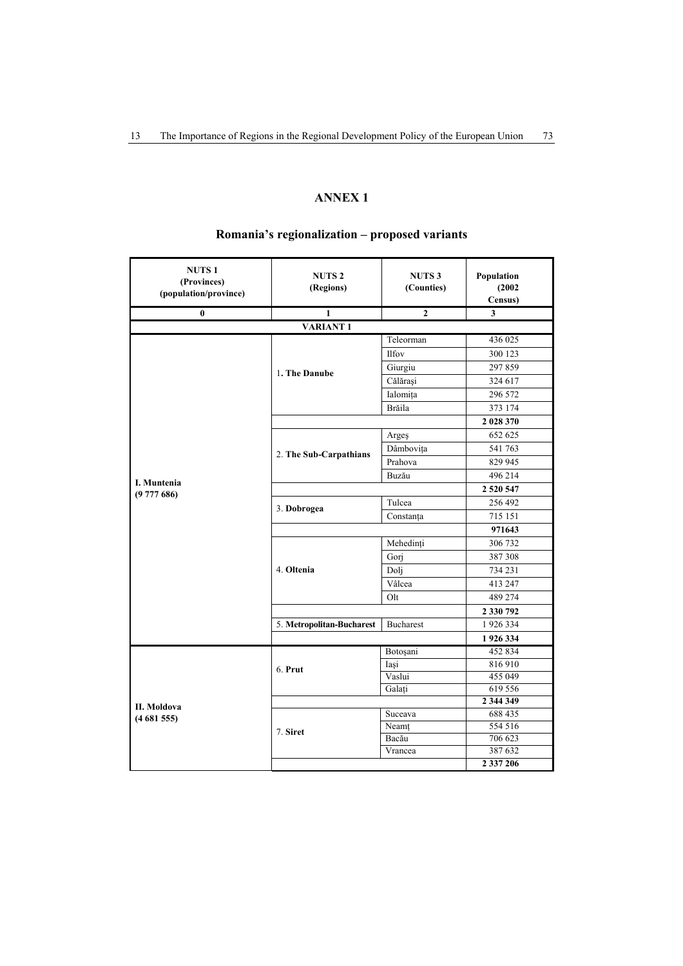## **ANNEX 1**

| <b>NUTS1</b><br>(Provinces)<br>(population/province) | <b>NUTS2</b><br>(Regions) | <b>NUTS3</b><br>(Counties) | Population<br>(2002)<br>Census) |
|------------------------------------------------------|---------------------------|----------------------------|---------------------------------|
| $\bf{0}$                                             | $\overline{1}$            | $\overline{2}$             | $\overline{\mathbf{3}}$         |
|                                                      | <b>VARIANT1</b>           |                            |                                 |
|                                                      |                           | Teleorman                  | 436 025                         |
|                                                      |                           | Ilfov                      | 300 123                         |
|                                                      | 1. The Danube             | Giurgiu                    | 297859                          |
|                                                      |                           | Călărași                   | 324 617                         |
|                                                      |                           | Ialomița                   | 296 572                         |
|                                                      |                           | Brăila                     | 373 174                         |
|                                                      |                           |                            | 2 028 370                       |
|                                                      |                           | Argeș                      | 652 625                         |
|                                                      |                           | Dâmbovița                  | 541 763                         |
|                                                      | 2. The Sub-Carpathians    | Prahova                    | 829 945                         |
|                                                      |                           | Buzău                      | 496 214                         |
| I. Muntenia<br>(9777686)                             |                           | 2 5 2 0 5 4 7              |                                 |
|                                                      |                           | Tulcea                     | 256 492                         |
|                                                      | 3. Dobrogea               | Constanța                  | 715 151                         |
|                                                      |                           | 971643                     |                                 |
|                                                      |                           | Mehedinți                  | 306 732                         |
|                                                      |                           | Gorj                       | 387 308                         |
|                                                      | 4. Oltenia                | Doli                       | 734 231                         |
|                                                      |                           | Vâlcea                     | 413 247                         |
|                                                      |                           | Olt                        | 489 274                         |
|                                                      |                           |                            | 2 330 792                       |
|                                                      | 5. Metropolitan-Bucharest | Bucharest                  | 1926334                         |
|                                                      |                           |                            | 1926334                         |
|                                                      |                           | Botoșani                   | 452 834                         |
|                                                      | 6. Prut                   | Iași                       | 816910                          |
|                                                      |                           | Vaslui                     | 455 049                         |
|                                                      |                           | Galati                     | 619 556                         |
| II. Moldova                                          |                           |                            | 2 344 349                       |
| (4681555)                                            |                           | Suceava                    | 688 435                         |
|                                                      | 7. Siret                  | Neamț                      | 554 516                         |
|                                                      |                           | Bacău                      | 706 623                         |
|                                                      |                           | Vrancea                    | 387 632<br>2 3 3 7 2 0 6        |
|                                                      |                           |                            |                                 |

# **Romania's regionalization – proposed variants**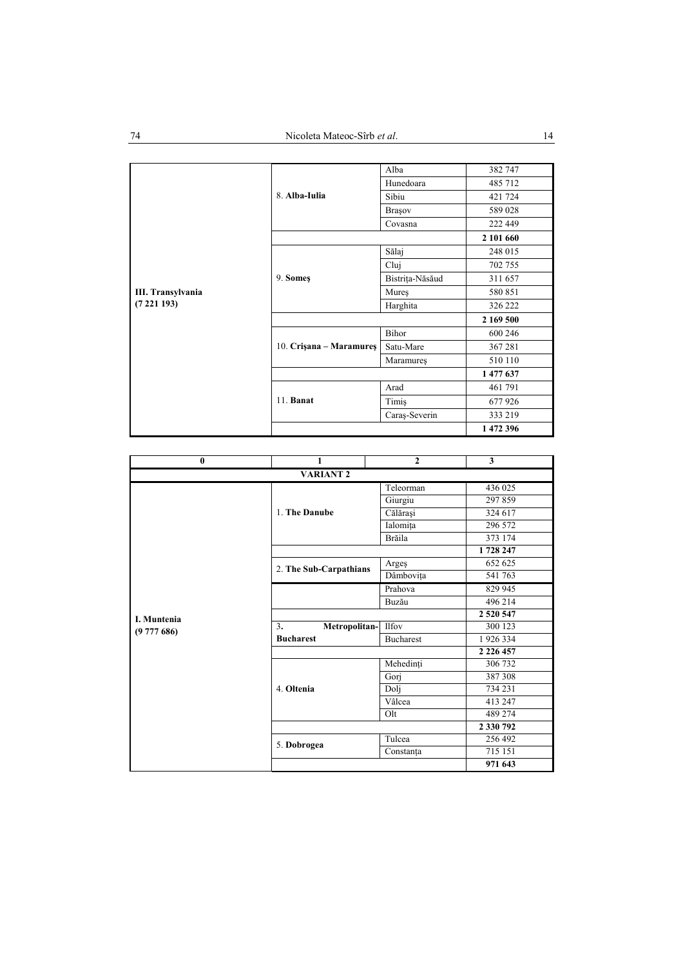|                          | 8. Alba-Iulia           | Alba            | 382 747   |
|--------------------------|-------------------------|-----------------|-----------|
|                          |                         | Hunedoara       | 485 712   |
|                          |                         | Sibiu           | 421 724   |
|                          |                         | <b>Brasov</b>   | 589 028   |
|                          |                         | Covasna         | 222 449   |
|                          |                         |                 | 2 101 660 |
|                          |                         | Sălaj           | 248 015   |
|                          |                         | Cluj            | 702 755   |
|                          | 9. Somes                | Bistrița-Năsăud | 311 657   |
| <b>III. Transylvania</b> |                         | Mures           | 580 851   |
| (7221193)                |                         | Harghita        | 326 222   |
|                          |                         | 2 169 500       |           |
|                          | 10. Crisana – Maramures | Bihor           | 600 246   |
|                          |                         | Satu-Mare       | 367281    |
|                          |                         | Maramures       | 510 110   |
|                          |                         |                 | 1477637   |
|                          |                         | Arad            | 461 791   |
|                          | 11. <b>Banat</b>        | Timiş           | 677926    |
|                          |                         | Caraș-Severin   | 333 219   |
|                          |                         |                 | 1 472 396 |

| $\bf{0}$         | 1                      | $\mathbf{2}$     | 3             |  |
|------------------|------------------------|------------------|---------------|--|
| <b>VARIANT 2</b> |                        |                  |               |  |
|                  |                        | Teleorman        | 436 025       |  |
|                  |                        | Giurgiu          | 297859        |  |
|                  | 1. The Danube          | Călărași         | 324 617       |  |
|                  |                        | Ialomița         | 296 572       |  |
|                  |                        | Brăila           | 373 174       |  |
|                  |                        |                  | 1728 247      |  |
|                  | 2. The Sub-Carpathians | Arges            | 652 625       |  |
|                  |                        | Dâmbovița        | 541 763       |  |
|                  |                        | Prahova          | 829 945       |  |
|                  |                        | Buzău            | 496 214       |  |
| I. Muntenia      |                        |                  | 2 5 2 0 5 4 7 |  |
| (9777686)        | Metropolitan-<br>3.    | <b>Ilfov</b>     | 300 123       |  |
|                  | <b>Bucharest</b>       | <b>Bucharest</b> | 1926334       |  |
|                  |                        |                  | 2 2 2 6 4 5 7 |  |
|                  |                        | Mehedinți        | 306 732       |  |
|                  |                        | Gorj             | 387 308       |  |
|                  | 4. Oltenia             | Dolj             | 734 231       |  |
|                  |                        | Vâlcea           | 413 247       |  |
|                  |                        | Olt              | 489 274       |  |
|                  |                        |                  | 2 330 792     |  |
|                  | 5. Dobrogea            | Tulcea           | 256 492       |  |
|                  |                        | Constanța        | 715 151       |  |
|                  |                        |                  | 971 643       |  |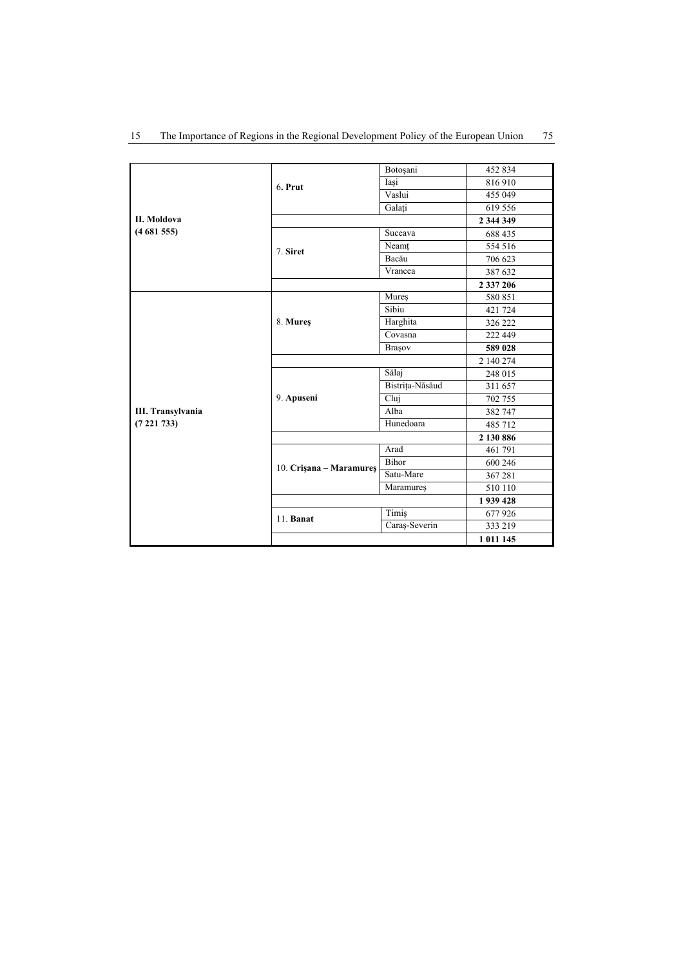|                   |                         | Botoşani        | 452 834   |
|-------------------|-------------------------|-----------------|-----------|
|                   | 6. Prut                 | Iași            | 816910    |
|                   |                         | Vaslui          | 455 049   |
|                   |                         | Galati          | 619 556   |
| II. Moldova       |                         |                 | 2 344 349 |
| (4681555)         |                         | Suceava         | 688 435   |
|                   | 7. Siret                | Neamt           | 554 516   |
|                   |                         | Bacău           | 706 623   |
|                   |                         | Vrancea         | 387 632   |
|                   |                         |                 | 2 337 206 |
|                   |                         | Mures           | 580 851   |
|                   |                         | Sibiu           | 421 724   |
|                   | 8. Mures                | Harghita        | 326 222   |
|                   |                         | Covasna         | 222 449   |
|                   |                         | Brașov          | 589 028   |
|                   |                         |                 | 2 140 274 |
|                   |                         | Sălaj           | 248 015   |
|                   | 9. Apuseni              | Bistrița-Năsăud | 311 657   |
|                   |                         | Cluj            | 702 755   |
| III. Transylvania |                         | Alba            | 382 747   |
| (7221733)         |                         | Hunedoara       | 485 712   |
|                   |                         |                 | 2 130 886 |
|                   |                         | Arad            | 461 791   |
|                   | 10. Crisana – Maramures | Bihor           | 600 246   |
|                   |                         | Satu-Mare       | 367281    |
|                   |                         | Maramures       | 510 110   |
|                   |                         |                 | 1939428   |
|                   | 11. Banat               | Timiş           | 677926    |
|                   |                         | Caraş-Severin   | 333 219   |
|                   |                         |                 | 1 011 145 |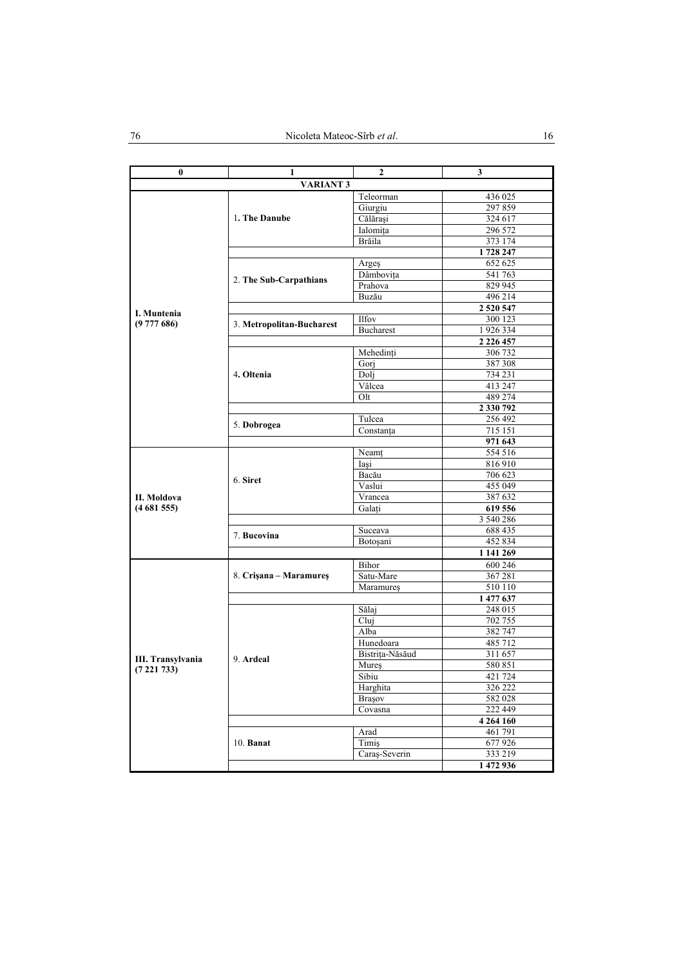| 0                 | 1                      | 2                                                                                                                                                                                                                                                                                                                                                                                                                                                         | 3                  |
|-------------------|------------------------|-----------------------------------------------------------------------------------------------------------------------------------------------------------------------------------------------------------------------------------------------------------------------------------------------------------------------------------------------------------------------------------------------------------------------------------------------------------|--------------------|
|                   | <b>VARIANT 3</b>       |                                                                                                                                                                                                                                                                                                                                                                                                                                                           |                    |
|                   |                        |                                                                                                                                                                                                                                                                                                                                                                                                                                                           | 436 025            |
|                   |                        | Teleorman<br>Giurgiu<br>Călărași<br>Ialomita<br>Brăila<br>Arges<br>Dâmbovita<br>Prahova<br>Buzău<br><b>Ilfov</b><br><b>Bucharest</b><br>Mehedinți<br>Gori<br>Dolj<br>Vâlcea<br>Olt<br>Tulcea<br>Constanța<br>Neamt<br>Iasi<br>Bacău<br>Vaslui<br>Vrancea<br>Galati<br>Suceava<br>Botoșani<br>Bihor<br>Satu-Mare<br>Maramures<br>Sălaj<br>Cluj<br>Alba<br>Hunedoara<br>Bistrița-Năsăud<br>Mureș<br>Sibiu<br>Harghita<br>Brașov<br>Covasna<br>Arad<br>Timiş | 297859             |
|                   | 1. The Danube          |                                                                                                                                                                                                                                                                                                                                                                                                                                                           | 324 617            |
|                   |                        |                                                                                                                                                                                                                                                                                                                                                                                                                                                           | 296 572            |
|                   |                        |                                                                                                                                                                                                                                                                                                                                                                                                                                                           | 373 174            |
|                   |                        |                                                                                                                                                                                                                                                                                                                                                                                                                                                           | 1728 247           |
|                   |                        |                                                                                                                                                                                                                                                                                                                                                                                                                                                           | 652 625            |
|                   |                        |                                                                                                                                                                                                                                                                                                                                                                                                                                                           | 541 763            |
|                   |                        |                                                                                                                                                                                                                                                                                                                                                                                                                                                           | 829 945            |
|                   |                        |                                                                                                                                                                                                                                                                                                                                                                                                                                                           | 496 214            |
| I. Muntenia       |                        |                                                                                                                                                                                                                                                                                                                                                                                                                                                           | 2 5 2 0 5 4 7      |
| (9777686)         |                        |                                                                                                                                                                                                                                                                                                                                                                                                                                                           | 300 123            |
|                   |                        |                                                                                                                                                                                                                                                                                                                                                                                                                                                           | 1926334            |
|                   |                        |                                                                                                                                                                                                                                                                                                                                                                                                                                                           | 2 2 2 6 4 5 7      |
|                   |                        |                                                                                                                                                                                                                                                                                                                                                                                                                                                           | 306 732            |
|                   |                        |                                                                                                                                                                                                                                                                                                                                                                                                                                                           | 387 308            |
|                   |                        |                                                                                                                                                                                                                                                                                                                                                                                                                                                           | 734 231            |
|                   |                        |                                                                                                                                                                                                                                                                                                                                                                                                                                                           | 413 247            |
|                   |                        |                                                                                                                                                                                                                                                                                                                                                                                                                                                           | 489 274            |
|                   |                        |                                                                                                                                                                                                                                                                                                                                                                                                                                                           | 2 330 792          |
|                   | 5. Dobrogea            |                                                                                                                                                                                                                                                                                                                                                                                                                                                           | 256 492            |
|                   |                        |                                                                                                                                                                                                                                                                                                                                                                                                                                                           | 715 151<br>971 643 |
|                   |                        |                                                                                                                                                                                                                                                                                                                                                                                                                                                           | 554 516            |
|                   |                        |                                                                                                                                                                                                                                                                                                                                                                                                                                                           | 816910             |
|                   |                        |                                                                                                                                                                                                                                                                                                                                                                                                                                                           | 706 623            |
|                   | 6. Siret               | 455 049                                                                                                                                                                                                                                                                                                                                                                                                                                                   |                    |
| II. Moldova       |                        | 2. The Sub-Carpathians<br>3. Metropolitan-Bucharest<br>4. Oltenia                                                                                                                                                                                                                                                                                                                                                                                         | 387 632            |
| (4681555)         |                        |                                                                                                                                                                                                                                                                                                                                                                                                                                                           | 619 556            |
|                   |                        |                                                                                                                                                                                                                                                                                                                                                                                                                                                           | 3 540 286          |
|                   |                        |                                                                                                                                                                                                                                                                                                                                                                                                                                                           | 688 435            |
|                   | 7. Bucovina            |                                                                                                                                                                                                                                                                                                                                                                                                                                                           | 452 834            |
|                   |                        | Caraș-Severin                                                                                                                                                                                                                                                                                                                                                                                                                                             | 1 141 269          |
|                   |                        |                                                                                                                                                                                                                                                                                                                                                                                                                                                           | 600 246            |
|                   | 8. Crișana – Maramureș |                                                                                                                                                                                                                                                                                                                                                                                                                                                           | 367 281            |
|                   |                        |                                                                                                                                                                                                                                                                                                                                                                                                                                                           | 510 110            |
|                   |                        |                                                                                                                                                                                                                                                                                                                                                                                                                                                           | 1 477 637          |
|                   |                        |                                                                                                                                                                                                                                                                                                                                                                                                                                                           | 248 015            |
|                   |                        |                                                                                                                                                                                                                                                                                                                                                                                                                                                           | 702 755            |
|                   |                        |                                                                                                                                                                                                                                                                                                                                                                                                                                                           | 382 747            |
|                   |                        |                                                                                                                                                                                                                                                                                                                                                                                                                                                           | 485 712            |
| III. Transylvania | 9. Ardeal              |                                                                                                                                                                                                                                                                                                                                                                                                                                                           | 311 657            |
| (7221733)         |                        |                                                                                                                                                                                                                                                                                                                                                                                                                                                           | 580 851            |
|                   |                        |                                                                                                                                                                                                                                                                                                                                                                                                                                                           | 421 724            |
|                   |                        |                                                                                                                                                                                                                                                                                                                                                                                                                                                           | 326 222            |
|                   |                        |                                                                                                                                                                                                                                                                                                                                                                                                                                                           | 582 028            |
|                   |                        |                                                                                                                                                                                                                                                                                                                                                                                                                                                           | 222 449            |
|                   |                        |                                                                                                                                                                                                                                                                                                                                                                                                                                                           | 4 264 160          |
|                   |                        |                                                                                                                                                                                                                                                                                                                                                                                                                                                           | 461 791            |
|                   | $10.$ Banat            |                                                                                                                                                                                                                                                                                                                                                                                                                                                           | 677 926            |
|                   |                        |                                                                                                                                                                                                                                                                                                                                                                                                                                                           | 333 219            |
|                   |                        |                                                                                                                                                                                                                                                                                                                                                                                                                                                           | 1 472 936          |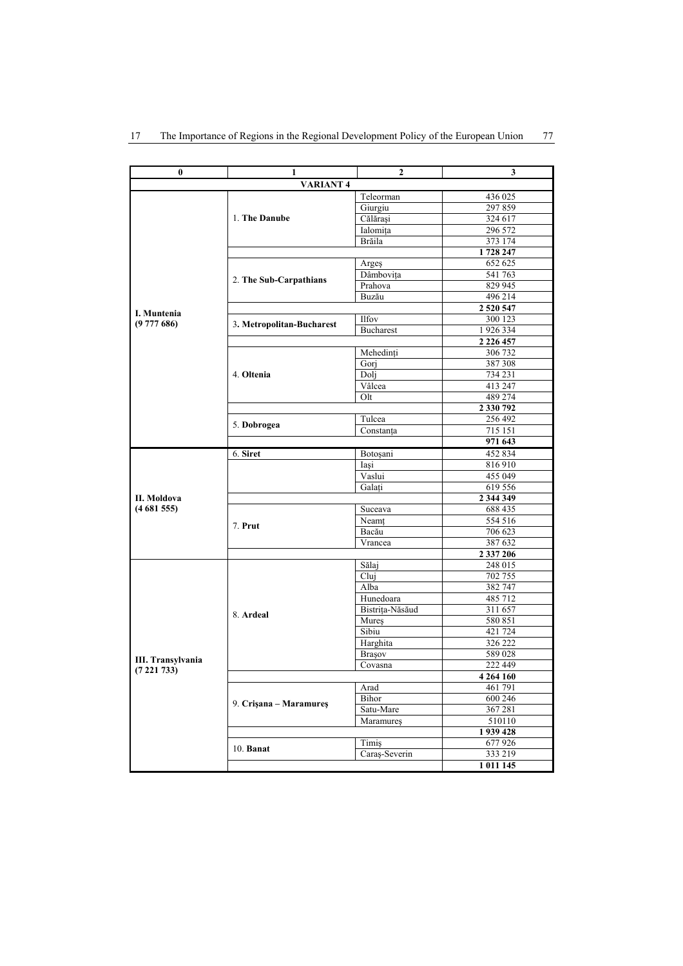| 0                        | 1                         | $\overline{2}$   | 3             |  |  |
|--------------------------|---------------------------|------------------|---------------|--|--|
| <b>VARIANT4</b>          |                           |                  |               |  |  |
|                          |                           | Teleorman        | 436 025       |  |  |
|                          |                           | Giurgiu          | 297859        |  |  |
|                          | 1. The Danube             | Călărași         | 324 617       |  |  |
|                          |                           | Ialomița         | 296 572       |  |  |
|                          |                           | Brăila           | 373 174       |  |  |
|                          |                           |                  | 1728 247      |  |  |
|                          |                           | Argeş            | 652 625       |  |  |
|                          | 2. The Sub-Carpathians    | Dâmbovița        | 541 763       |  |  |
|                          |                           | Prahova          | 829 945       |  |  |
|                          |                           | Buzău            | 496 214       |  |  |
| I. Muntenia              |                           |                  | 2 5 2 0 5 4 7 |  |  |
| (9777686)                |                           | <b>Ilfov</b>     | 300 123       |  |  |
|                          | 3. Metropolitan-Bucharest | <b>Bucharest</b> | 1926334       |  |  |
|                          |                           |                  | 2 2 2 6 4 5 7 |  |  |
|                          |                           | Mehedinți        | 306 732       |  |  |
|                          |                           | Gorj             | 387 308       |  |  |
|                          | 4. Oltenia                | Dolj             | 734 231       |  |  |
|                          |                           | Vâlcea           | 413 247       |  |  |
|                          |                           | Olt              | 489 274       |  |  |
|                          |                           |                  | 2 330 792     |  |  |
|                          |                           | Tulcea           | 256 492       |  |  |
|                          | 5. Dobrogea               | Constanța        | 715 151       |  |  |
|                          |                           |                  | 971 643       |  |  |
|                          | 6. Siret                  | Botoșani         | 452 834       |  |  |
|                          |                           | Iași             | 816910        |  |  |
|                          |                           | Vaslui           | 455 049       |  |  |
|                          |                           | Galați           | 619 556       |  |  |
| II. Moldova              |                           |                  | 2 344 349     |  |  |
| (4681555)                |                           | Suceava          | 688 435       |  |  |
|                          |                           | Neamt            | 554 516       |  |  |
|                          | 7. Prut                   | Bacău            | 706 623       |  |  |
|                          |                           | Vrancea          | 387 632       |  |  |
|                          |                           |                  | 2 337 206     |  |  |
|                          |                           | Sălaj            | 248 015       |  |  |
|                          |                           | Cluj             | 702 755       |  |  |
|                          |                           | Alba             | 382 747       |  |  |
|                          |                           | Hunedoara        | 485 712       |  |  |
|                          | 8. Ardeal                 | Bistrița-Năsăud  | 311 657       |  |  |
|                          |                           | Mures            | 580 851       |  |  |
|                          |                           | Sibiu            | 421 724       |  |  |
|                          |                           | Harghita         | 326 222       |  |  |
| <b>III. Transylvania</b> |                           | Brașov           | 589028        |  |  |
| (7221733)                |                           | Covasna          | 222 449       |  |  |
|                          |                           |                  | 4 264 160     |  |  |
|                          |                           | Arad             | 461 791       |  |  |
|                          | 9. Crisana – Maramures    | Bihor            | 600 246       |  |  |
|                          |                           | Satu-Mare        | 367 281       |  |  |
|                          |                           | Maramures        | 510110        |  |  |
|                          |                           |                  | 1939428       |  |  |
|                          | $10.$ Banat               | Timiş            | 677926        |  |  |
|                          |                           | Caraş-Severin    | 333 219       |  |  |
|                          |                           |                  | 1 011 145     |  |  |